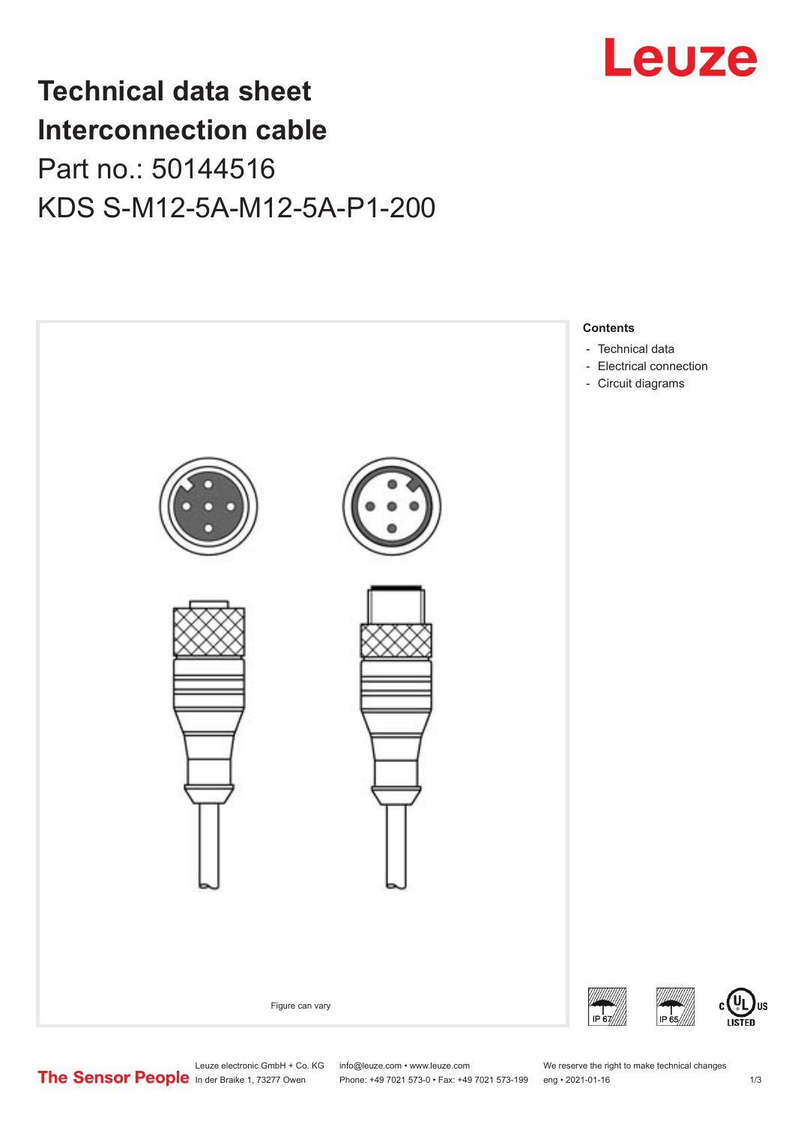

## **Technical data sheet Interconnection cable** Part no.: 50144516 KDS S-M12-5A-M12-5A-P1-200



Leuze electronic GmbH + Co. KG info@leuze.com • www.leuze.com We reserve the right to make technical changes<br>
The Sensor People in der Braike 1, 73277 Owen Phone: +49 7021 573-0 • Fax: +49 7021 573-199 eng • 2021-01-16

Phone: +49 7021 573-0 • Fax: +49 7021 573-199 eng • 2021-01-16

US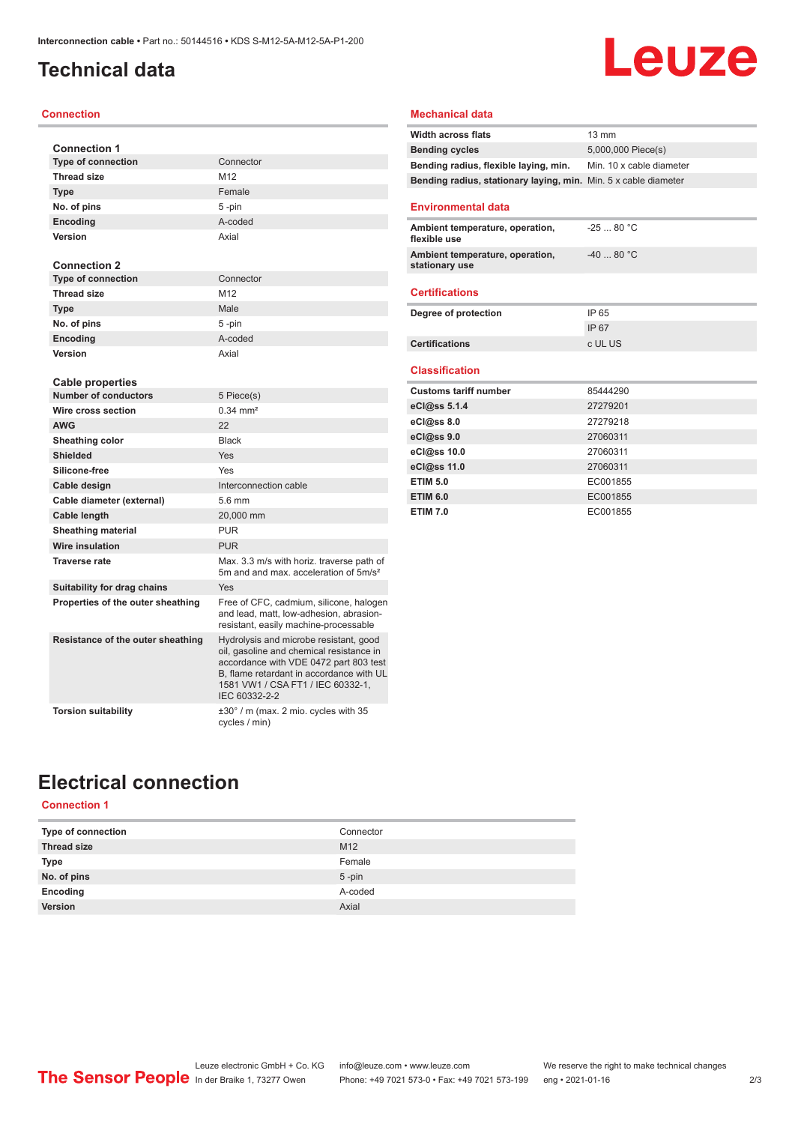## <span id="page-1-0"></span>**Technical data**

#### **Connection**

| <b>Connection 1</b>               |                                                                                                                                                                                                                                |
|-----------------------------------|--------------------------------------------------------------------------------------------------------------------------------------------------------------------------------------------------------------------------------|
| <b>Type of connection</b>         | Connector                                                                                                                                                                                                                      |
| <b>Thread size</b>                | M12                                                                                                                                                                                                                            |
| <b>Type</b>                       | Female                                                                                                                                                                                                                         |
| No. of pins                       | 5-pin                                                                                                                                                                                                                          |
| <b>Encoding</b>                   | A-coded                                                                                                                                                                                                                        |
| Version                           | Axial                                                                                                                                                                                                                          |
| <b>Connection 2</b>               |                                                                                                                                                                                                                                |
| <b>Type of connection</b>         | Connector                                                                                                                                                                                                                      |
| <b>Thread size</b>                | M12                                                                                                                                                                                                                            |
| <b>Type</b>                       | Male                                                                                                                                                                                                                           |
| No. of pins                       | 5-pin                                                                                                                                                                                                                          |
| Encoding                          | A-coded                                                                                                                                                                                                                        |
| Version                           | Axial                                                                                                                                                                                                                          |
| Cable properties                  |                                                                                                                                                                                                                                |
| <b>Number of conductors</b>       | 5 Piece(s)                                                                                                                                                                                                                     |
| Wire cross section                | $0.34 \, \text{mm}^2$                                                                                                                                                                                                          |
| <b>AWG</b>                        | 22                                                                                                                                                                                                                             |
| Sheathing color                   | <b>Black</b>                                                                                                                                                                                                                   |
| <b>Shielded</b>                   | Yes                                                                                                                                                                                                                            |
| Silicone-free                     | Yes                                                                                                                                                                                                                            |
| Cable design                      | Interconnection cable                                                                                                                                                                                                          |
| Cable diameter (external)         | 5.6 mm                                                                                                                                                                                                                         |
| Cable length                      | 20,000 mm                                                                                                                                                                                                                      |
| <b>Sheathing material</b>         | <b>PUR</b>                                                                                                                                                                                                                     |
| Wire insulation                   | <b>PUR</b>                                                                                                                                                                                                                     |
| <b>Traverse rate</b>              | Max. 3.3 m/s with horiz. traverse path of<br>5m and and max, acceleration of 5m/s <sup>2</sup>                                                                                                                                 |
| Suitability for drag chains       | Yes                                                                                                                                                                                                                            |
| Properties of the outer sheathing | Free of CFC, cadmium, silicone, halogen<br>and lead, matt, low-adhesion, abrasion-<br>resistant, easily machine-processable                                                                                                    |
| Resistance of the outer sheathing | Hydrolysis and microbe resistant, good<br>oil, gasoline and chemical resistance in<br>accordance with VDE 0472 part 803 test<br>B, flame retardant in accordance with UL<br>1581 VW1 / CSA FT1 / IEC 60332-1,<br>IEC 60332-2-2 |
| <b>Torsion suitability</b>        | $\pm 30^\circ$ / m (max. 2 mio. cycles with 35<br>cycles / min)                                                                                                                                                                |

#### **Mechanical data**

| <b>Width across flats</b>                                       | $13 \text{ mm}$          |
|-----------------------------------------------------------------|--------------------------|
| <b>Bending cycles</b>                                           | 5,000,000 Piece(s)       |
| Bending radius, flexible laying, min.                           | Min. 10 x cable diameter |
| Bending radius, stationary laying, min. Min. 5 x cable diameter |                          |
| <b>Environmental data</b>                                       |                          |
|                                                                 |                          |
| Ambient temperature, operation,<br>flexible use                 | $-2580 °C$               |
| Ambient temperature, operation,<br>stationary use               | $-4080 °C$               |
| <b>Certifications</b>                                           |                          |
| Degree of protection                                            | IP 65                    |
|                                                                 | IP 67                    |
| <b>Certifications</b>                                           | c UL US                  |
|                                                                 |                          |
| <b>Classification</b>                                           |                          |
| <b>Customs tariff number</b>                                    | 85444290                 |
| eCl@ss 5.1.4                                                    | 27279201                 |
| eCl@ss 8.0                                                      | 27279218                 |
| eCl@ss 9.0                                                      | 27060311                 |
| eCl@ss 10.0                                                     | 27060311                 |
| eCl@ss 11.0                                                     | 27060311                 |
| <b>ETIM 5.0</b>                                                 | EC001855                 |
| <b>ETIM 6.0</b>                                                 | EC001855                 |
| <b>ETIM 7.0</b>                                                 | EC001855                 |

Leuze

## **Electrical connection**

#### **Connection 1**

| Type of connection | Connector       |
|--------------------|-----------------|
| <b>Thread size</b> | M <sub>12</sub> |
| Type               | Female          |
| No. of pins        | $5$ -pin        |
| Encoding           | A-coded         |
| Version            | Axial           |